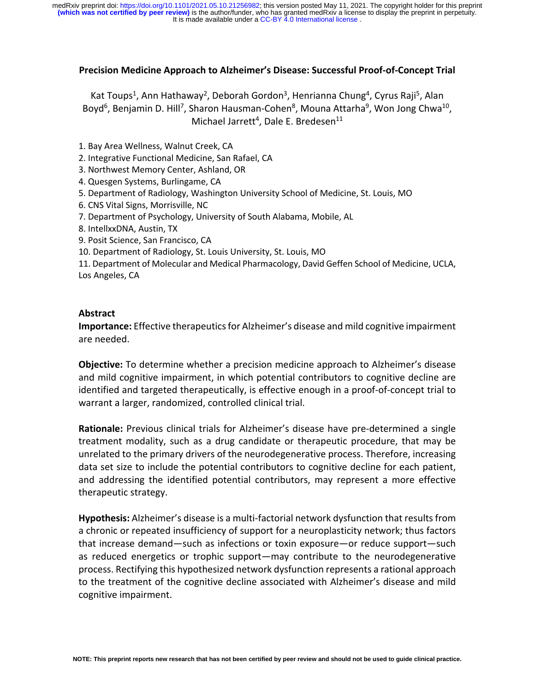#### **Precision Medicine Approach to Alzheimer's Disease: Successful Proof-of-Concept Trial**

Kat Toups<sup>1</sup>, Ann Hathaway<sup>2</sup>, Deborah Gordon<sup>3</sup>, Henrianna Chung<sup>4</sup>, Cyrus Raji<sup>5</sup>, Alan Boyd<sup>6</sup>, Benjamin D. Hill<sup>7</sup>, Sharon Hausman-Cohen<sup>8</sup>, Mouna Attarha<sup>9</sup>, Won Jong Chwa<sup>10</sup>, Michael Jarrett<sup>4</sup>, Dale E. Bredesen<sup>11</sup>

1. Bay Area Wellness, Walnut Creek, CA

2. Integrative Functional Medicine, San Rafael, CA

3. Northwest Memory Center, Ashland, OR

4. Quesgen Systems, Burlingame, CA

5. Department of Radiology, Washington University School of Medicine, St. Louis, MO

6. CNS Vital Signs, Morrisville, NC

7. Department of Psychology, University of South Alabama, Mobile, AL

8. IntellxxDNA, Austin, TX

9. Posit Science, San Francisco, CA

10. Department of Radiology, St. Louis University, St. Louis, MO

11. Department of Molecular and Medical Pharmacology, David Geffen School of Medicine, UCLA, Los Angeles, CA

#### **Abstract**

**Importance:** Effective therapeutics for Alzheimer's disease and mild cognitive impairment are needed.

**Objective:** To determine whether a precision medicine approach to Alzheimer's disease and mild cognitive impairment, in which potential contributors to cognitive decline are identified and targeted therapeutically, is effective enough in a proof-of-concept trial to warrant a larger, randomized, controlled clinical trial.

**Rationale:** Previous clinical trials for Alzheimer's disease have pre-determined a single treatment modality, such as a drug candidate or therapeutic procedure, that may be unrelated to the primary drivers of the neurodegenerative process. Therefore, increasing data set size to include the potential contributors to cognitive decline for each patient, and addressing the identified potential contributors, may represent a more effective therapeutic strategy.

**Hypothesis:** Alzheimer's disease is a multi-factorial network dysfunction that results from a chronic or repeated insufficiency of support for a neuroplasticity network; thus factors that increase demand—such as infections or toxin exposure—or reduce support—such as reduced energetics or trophic support—may contribute to the neurodegenerative process. Rectifying this hypothesized network dysfunction represents a rational approach to the treatment of the cognitive decline associated with Alzheimer's disease and mild cognitive impairment.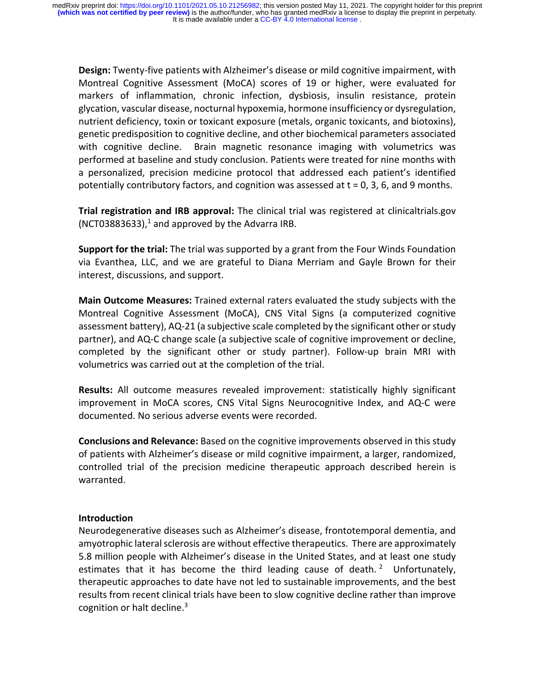**Design:** Twenty-five patients with Alzheimer's disease or mild cognitive impairment, with Montreal Cognitive Assessment (MoCA) scores of 19 or higher, were evaluated for markers of inflammation, chronic infection, dysbiosis, insulin resistance, protein glycation, vascular disease, nocturnal hypoxemia, hormone insufficiency or dysregulation, nutrient deficiency, toxin or toxicant exposure (metals, organic toxicants, and biotoxins), genetic predisposition to cognitive decline, and other biochemical parameters associated with cognitive decline. Brain magnetic resonance imaging with volumetrics was performed at baseline and study conclusion. Patients were treated for nine months with a personalized, precision medicine protocol that addressed each patient's identified potentially contributory factors, and cognition was assessed at  $t = 0$ , 3, 6, and 9 months.

**Trial registration and IRB approval:** The clinical trial was registered at clinicaltrials.gov (NCT03883633), <sup>1</sup> and approved by the Advarra IRB.

**Support for the trial:** The trial was supported by a grant from the Four Winds Foundation via Evanthea, LLC, and we are grateful to Diana Merriam and Gayle Brown for their interest, discussions, and support.

**Main Outcome Measures:** Trained external raters evaluated the study subjects with the Montreal Cognitive Assessment (MoCA), CNS Vital Signs (a computerized cognitive assessment battery), AQ-21 (a subjective scale completed by the significant other or study partner), and AQ-C change scale (a subjective scale of cognitive improvement or decline, completed by the significant other or study partner). Follow-up brain MRI with volumetrics was carried out at the completion of the trial.

**Results:** All outcome measures revealed improvement: statistically highly significant improvement in MoCA scores, CNS Vital Signs Neurocognitive Index, and AQ-C were documented. No serious adverse events were recorded.

**Conclusions and Relevance:** Based on the cognitive improvements observed in this study of patients with Alzheimer's disease or mild cognitive impairment, a larger, randomized, controlled trial of the precision medicine therapeutic approach described herein is warranted.

## **Introduction**

Neurodegenerative diseases such as Alzheimer's disease, frontotemporal dementia, and amyotrophic lateral sclerosis are without effective therapeutics. There are approximately 5.8 million people with Alzheimer's disease in the United States, and at least one study estimates that it has become the third leading cause of death.<sup>2</sup> Unfortunately, therapeutic approaches to date have not led to sustainable improvements, and the best results from recent clinical trials have been to slow cognitive decline rather than improve cognition or halt decline.<sup>3</sup>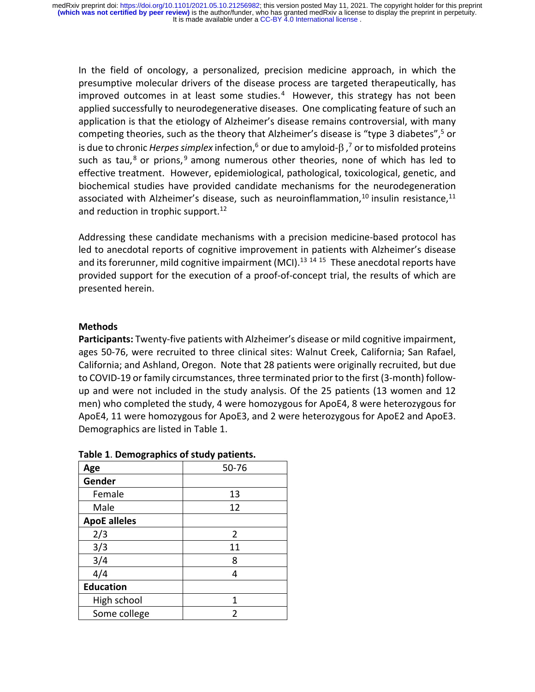In the field of oncology, a personalized, precision medicine approach, in which the presumptive molecular drivers of the disease process are targeted therapeutically, has improved outcomes in at least some studies. $4$  However, this strategy has not been applied successfully to neurodegenerative diseases. One complicating feature of such an application is that the etiology of Alzheimer's disease remains controversial, with many competing theories, such as the theory that Alzheimer's disease is "type 3 diabetes",<sup>5</sup> or is due to chronic *Herpes simplex* infection,<sup>6</sup> or due to amyloid- $\beta$  ,<sup>7</sup> or to misfolded proteins such as tau,<sup>8</sup> or prions,<sup>9</sup> among numerous other theories, none of which has led to effective treatment. However, epidemiological, pathological, toxicological, genetic, and biochemical studies have provided candidate mechanisms for the neurodegeneration associated with Alzheimer's disease, such as neuroinflammation, $^{10}$  insulin resistance, $^{11}$ and reduction in trophic support.<sup>12</sup>

Addressing these candidate mechanisms with a precision medicine-based protocol has led to anecdotal reports of cognitive improvement in patients with Alzheimer's disease and its forerunner, mild cognitive impairment (MCI).<sup>13 14 15</sup> These anecdotal reports have provided support for the execution of a proof-of-concept trial, the results of which are presented herein.

#### **Methods**

**Participants:** Twenty-five patients with Alzheimer's disease or mild cognitive impairment, ages 50-76, were recruited to three clinical sites: Walnut Creek, California; San Rafael, California; and Ashland, Oregon. Note that 28 patients were originally recruited, but due to COVID-19 or family circumstances, three terminated prior to the first (3-month) followup and were not included in the study analysis. Of the 25 patients (13 women and 12 men) who completed the study, 4 were homozygous for ApoE4, 8 were heterozygous for ApoE4, 11 were homozygous for ApoE3, and 2 were heterozygous for ApoE2 and ApoE3. Demographics are listed in Table 1.

| Age                 | 50-76 |  |
|---------------------|-------|--|
| Gender              |       |  |
| Female              | 13    |  |
| Male                | 12    |  |
| <b>ApoE alleles</b> |       |  |
| 2/3                 | 2     |  |
| 3/3                 | 11    |  |
| 3/4                 | 8     |  |
| 4/4                 | 4     |  |
| <b>Education</b>    |       |  |
| High school         | 1     |  |
| Some college        | 2     |  |

**Table 1**. **Demographics of study patients.**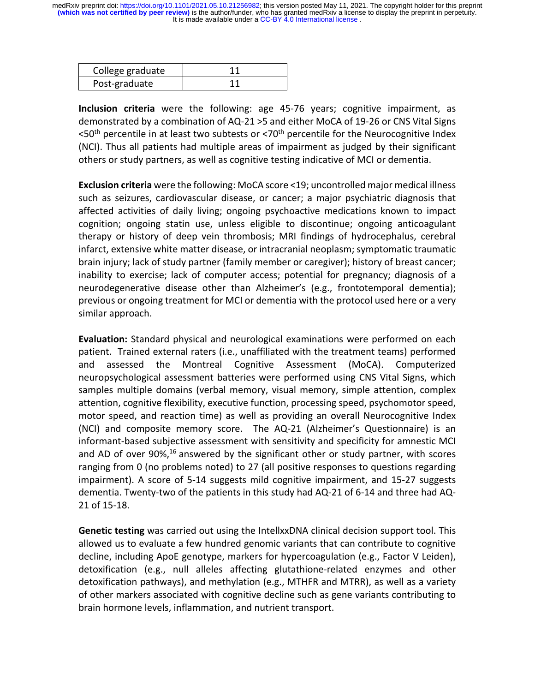| College graduate |  |
|------------------|--|
| Post-graduate    |  |

**Inclusion criteria** were the following: age 45-76 years; cognitive impairment, as demonstrated by a combination of AQ-21 >5 and either MoCA of 19-26 or CNS Vital Signs  $<$ 50<sup>th</sup> percentile in at least two subtests or  $<$ 70<sup>th</sup> percentile for the Neurocognitive Index (NCI). Thus all patients had multiple areas of impairment as judged by their significant others or study partners, as well as cognitive testing indicative of MCI or dementia.

**Exclusion criteria** were the following: MoCA score <19; uncontrolled major medical illness such as seizures, cardiovascular disease, or cancer; a major psychiatric diagnosis that affected activities of daily living; ongoing psychoactive medications known to impact cognition; ongoing statin use, unless eligible to discontinue; ongoing anticoagulant therapy or history of deep vein thrombosis; MRI findings of hydrocephalus, cerebral infarct, extensive white matter disease, or intracranial neoplasm; symptomatic traumatic brain injury; lack of study partner (family member or caregiver); history of breast cancer; inability to exercise; lack of computer access; potential for pregnancy; diagnosis of a neurodegenerative disease other than Alzheimer's (e.g., frontotemporal dementia); previous or ongoing treatment for MCI or dementia with the protocol used here or a very similar approach.

**Evaluation:** Standard physical and neurological examinations were performed on each patient. Trained external raters (i.e., unaffiliated with the treatment teams) performed and assessed the Montreal Cognitive Assessment (MoCA). Computerized neuropsychological assessment batteries were performed using CNS Vital Signs, which samples multiple domains (verbal memory, visual memory, simple attention, complex attention, cognitive flexibility, executive function, processing speed, psychomotor speed, motor speed, and reaction time) as well as providing an overall Neurocognitive Index (NCI) and composite memory score. The AQ-21 (Alzheimer's Questionnaire) is an informant-based subjective assessment with sensitivity and specificity for amnestic MCI and AD of over 90%,<sup>16</sup> answered by the significant other or study partner, with scores ranging from 0 (no problems noted) to 27 (all positive responses to questions regarding impairment). A score of 5-14 suggests mild cognitive impairment, and 15-27 suggests dementia. Twenty-two of the patients in this study had AQ-21 of 6-14 and three had AQ-21 of 15-18.

**Genetic testing** was carried out using the IntellxxDNA clinical decision support tool. This allowed us to evaluate a few hundred genomic variants that can contribute to cognitive decline, including ApoE genotype, markers for hypercoagulation (e.g., Factor V Leiden), detoxification (e.g., null alleles affecting glutathione-related enzymes and other detoxification pathways), and methylation (e.g., MTHFR and MTRR), as well as a variety of other markers associated with cognitive decline such as gene variants contributing to brain hormone levels, inflammation, and nutrient transport.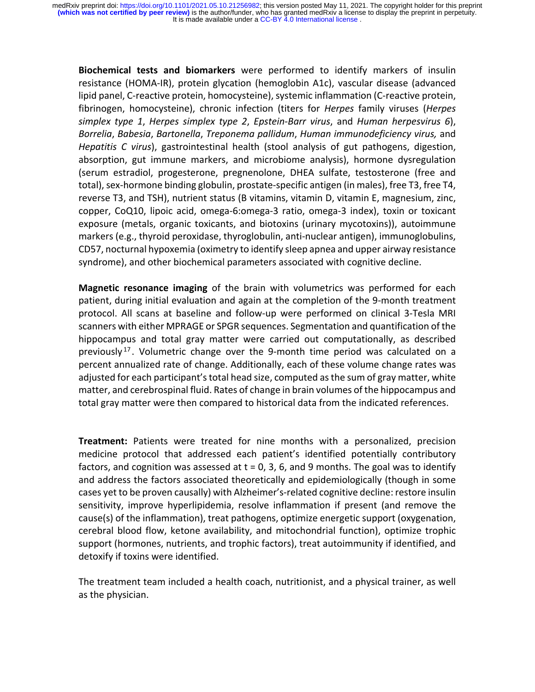**Biochemical tests and biomarkers** were performed to identify markers of insulin resistance (HOMA-IR), protein glycation (hemoglobin A1c), vascular disease (advanced lipid panel, C-reactive protein, homocysteine), systemic inflammation (C-reactive protein, fibrinogen, homocysteine), chronic infection (titers for *Herpes* family viruses (*Herpes simplex type 1*, *Herpes simplex type 2*, *Epstein-Barr virus*, and *Human herpesvirus 6*), *Borrelia*, *Babesia*, *Bartonella*, *Treponema pallidum*, *Human immunodeficiency virus,* and *Hepatitis C virus*), gastrointestinal health (stool analysis of gut pathogens, digestion, absorption, gut immune markers, and microbiome analysis), hormone dysregulation (serum estradiol, progesterone, pregnenolone, DHEA sulfate, testosterone (free and total), sex-hormone binding globulin, prostate-specific antigen (in males), free T3, free T4, reverse T3, and TSH), nutrient status (B vitamins, vitamin D, vitamin E, magnesium, zinc, copper, CoQ10, lipoic acid, omega-6:omega-3 ratio, omega-3 index), toxin or toxicant exposure (metals, organic toxicants, and biotoxins (urinary mycotoxins)), autoimmune markers (e.g., thyroid peroxidase, thyroglobulin, anti-nuclear antigen), immunoglobulins, CD57, nocturnal hypoxemia (oximetry to identify sleep apnea and upper airway resistance syndrome), and other biochemical parameters associated with cognitive decline.

**Magnetic resonance imaging** of the brain with volumetrics was performed for each patient, during initial evaluation and again at the completion of the 9-month treatment protocol. All scans at baseline and follow-up were performed on clinical 3-Tesla MRI scanners with either MPRAGE or SPGR sequences. Segmentation and quantification of the hippocampus and total gray matter were carried out computationally, as described previously<sup>17</sup>. Volumetric change over the 9-month time period was calculated on a percent annualized rate of change. Additionally, each of these volume change rates was adjusted for each participant's total head size, computed as the sum of gray matter, white matter, and cerebrospinal fluid. Rates of change in brain volumes of the hippocampus and total gray matter were then compared to historical data from the indicated references.

**Treatment:** Patients were treated for nine months with a personalized, precision medicine protocol that addressed each patient's identified potentially contributory factors, and cognition was assessed at  $t = 0$ , 3, 6, and 9 months. The goal was to identify and address the factors associated theoretically and epidemiologically (though in some cases yet to be proven causally) with Alzheimer's-related cognitive decline: restore insulin sensitivity, improve hyperlipidemia, resolve inflammation if present (and remove the cause(s) of the inflammation), treat pathogens, optimize energetic support (oxygenation, cerebral blood flow, ketone availability, and mitochondrial function), optimize trophic support (hormones, nutrients, and trophic factors), treat autoimmunity if identified, and detoxify if toxins were identified.

The treatment team included a health coach, nutritionist, and a physical trainer, as well as the physician.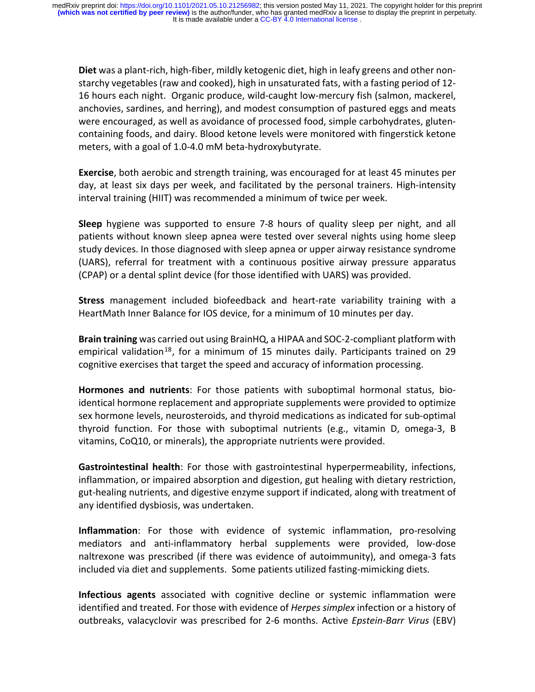**Diet** was a plant-rich, high-fiber, mildly ketogenic diet, high in leafy greens and other nonstarchy vegetables(raw and cooked), high in unsaturated fats, with a fasting period of 12- 16 hours each night. Organic produce, wild-caught low-mercury fish (salmon, mackerel, anchovies, sardines, and herring), and modest consumption of pastured eggs and meats were encouraged, as well as avoidance of processed food, simple carbohydrates, glutencontaining foods, and dairy. Blood ketone levels were monitored with fingerstick ketone meters, with a goal of 1.0-4.0 mM beta-hydroxybutyrate.

**Exercise**, both aerobic and strength training, was encouraged for at least 45 minutes per day, at least six days per week, and facilitated by the personal trainers. High-intensity interval training (HIIT) was recommended a minimum of twice per week.

**Sleep** hygiene was supported to ensure 7-8 hours of quality sleep per night, and all patients without known sleep apnea were tested over several nights using home sleep study devices. In those diagnosed with sleep apnea or upper airway resistance syndrome (UARS), referral for treatment with a continuous positive airway pressure apparatus (CPAP) or a dental splint device (for those identified with UARS) was provided.

**Stress** management included biofeedback and heart-rate variability training with a HeartMath Inner Balance for IOS device, for a minimum of 10 minutes per day.

**Brain training** was carried out using BrainHQ, a HIPAA and SOC-2-compliant platform with empirical validation<sup>18</sup>, for a minimum of 15 minutes daily. Participants trained on 29 cognitive exercises that target the speed and accuracy of information processing.

**Hormones and nutrients**: For those patients with suboptimal hormonal status, bioidentical hormone replacement and appropriate supplements were provided to optimize sex hormone levels, neurosteroids, and thyroid medications as indicated for sub-optimal thyroid function. For those with suboptimal nutrients (e.g., vitamin D, omega-3, B vitamins, CoQ10, or minerals), the appropriate nutrients were provided.

**Gastrointestinal health**: For those with gastrointestinal hyperpermeability, infections, inflammation, or impaired absorption and digestion, gut healing with dietary restriction, gut-healing nutrients, and digestive enzyme support if indicated, along with treatment of any identified dysbiosis, was undertaken.

**Inflammation**: For those with evidence of systemic inflammation, pro-resolving mediators and anti-inflammatory herbal supplements were provided, low-dose naltrexone was prescribed (if there was evidence of autoimmunity), and omega-3 fats included via diet and supplements. Some patients utilized fasting-mimicking diets.

**Infectious agents** associated with cognitive decline or systemic inflammation were identified and treated. For those with evidence of *Herpes simplex* infection or a history of outbreaks, valacyclovir was prescribed for 2-6 months. Active *Epstein-Barr Virus* (EBV)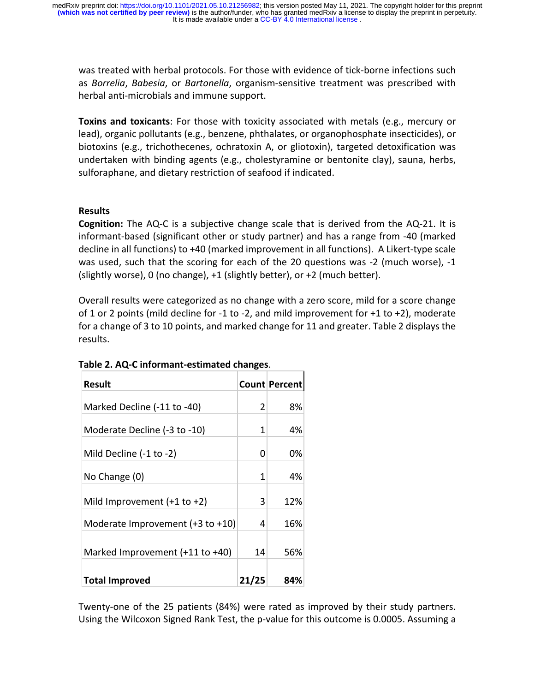was treated with herbal protocols. For those with evidence of tick-borne infections such as *Borrelia*, *Babesia*, or *Bartonella*, organism-sensitive treatment was prescribed with herbal anti-microbials and immune support.

**Toxins and toxicants**: For those with toxicity associated with metals (e.g., mercury or lead), organic pollutants (e.g., benzene, phthalates, or organophosphate insecticides), or biotoxins (e.g., trichothecenes, ochratoxin A, or gliotoxin), targeted detoxification was undertaken with binding agents (e.g., cholestyramine or bentonite clay), sauna, herbs, sulforaphane, and dietary restriction of seafood if indicated.

## **Results**

**Cognition:** The AQ-C is a subjective change scale that is derived from the AQ-21. It is informant-based (significant other or study partner) and has a range from -40 (marked decline in all functions) to +40 (marked improvement in all functions). A Likert-type scale was used, such that the scoring for each of the 20 questions was -2 (much worse), -1 (slightly worse), 0 (no change),  $+1$  (slightly better), or  $+2$  (much better).

Overall results were categorized as no change with a zero score, mild for a score change of 1 or 2 points (mild decline for -1 to -2, and mild improvement for +1 to +2), moderate for a change of 3 to 10 points, and marked change for 11 and greater. Table 2 displays the results.

| <b>Result</b>                    |       | <b>Count Percent</b> |
|----------------------------------|-------|----------------------|
| Marked Decline (-11 to -40)      | 2     | 8%                   |
| Moderate Decline (-3 to -10)     | 1     | 4%                   |
|                                  |       |                      |
| Mild Decline (-1 to -2)          | 0     | 0%                   |
| No Change (0)                    | 1     | 4%                   |
| Mild Improvement $(+1$ to $+2)$  | 3     | 12%                  |
| Moderate Improvement (+3 to +10) | 4     | 16%                  |
| Marked Improvement (+11 to +40)  | 14    | 56%                  |
| <b>Total Improved</b>            | 21/25 | 84%                  |

# **Table 2. AQ-C informant-estimated changes**.

Twenty-one of the 25 patients (84%) were rated as improved by their study partners. Using the Wilcoxon Signed Rank Test, the p-value for this outcome is 0.0005. Assuming a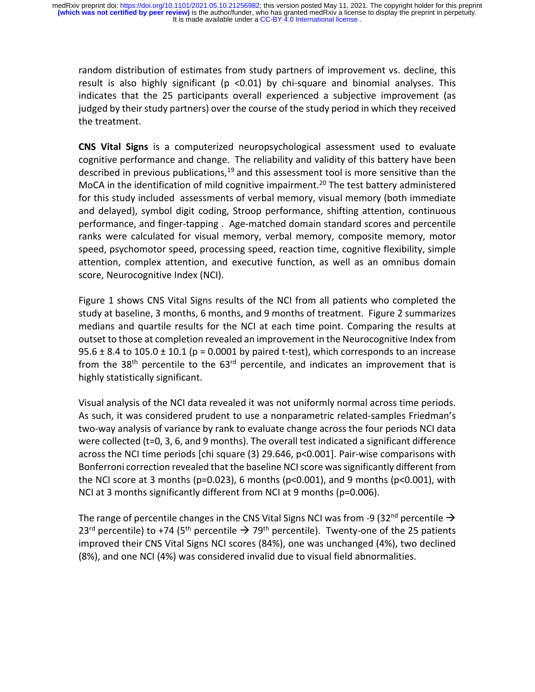random distribution of estimates from study partners of improvement vs. decline, this result is also highly significant ( $p$  <0.01) by chi-square and binomial analyses. This indicates that the 25 participants overall experienced a subjective improvement (as judged by their study partners) over the course of the study period in which they received the treatment.

**CNS Vital Signs** is a computerized neuropsychological assessment used to evaluate cognitive performance and change. The reliability and validity of this battery have been described in previous publications,<sup>19</sup> and this assessment tool is more sensitive than the MoCA in the identification of mild cognitive impairment.<sup>20</sup> The test battery administered for this study included assessments of verbal memory, visual memory (both immediate and delayed), symbol digit coding, Stroop performance, shifting attention, continuous performance, and finger-tapping . Age-matched domain standard scores and percentile ranks were calculated for visual memory, verbal memory, composite memory, motor speed, psychomotor speed, processing speed, reaction time, cognitive flexibility, simple attention, complex attention, and executive function, as well as an omnibus domain score, Neurocognitive Index (NCI).

Figure 1 shows CNS Vital Signs results of the NCI from all patients who completed the study at baseline, 3 months, 6 months, and 9 months of treatment. Figure 2 summarizes medians and quartile results for the NCI at each time point. Comparing the results at outset to those at completion revealed an improvement in the Neurocognitive Index from  $95.6 \pm 8.4$  to  $105.0 \pm 10.1$  (p = 0.0001 by paired t-test), which corresponds to an increase from the 38<sup>th</sup> percentile to the  $63<sup>rd</sup>$  percentile, and indicates an improvement that is highly statistically significant.

Visual analysis of the NCI data revealed it was not uniformly normal across time periods. As such, it was considered prudent to use a nonparametric related-samples Friedman's two-way analysis of variance by rank to evaluate change across the four periods NCI data were collected (t=0, 3, 6, and 9 months). The overall test indicated a significant difference across the NCI time periods [chi square (3) 29.646, p<0.001]. Pair-wise comparisons with Bonferroni correction revealed that the baseline NCI score was significantly different from the NCI score at 3 months ( $p=0.023$ ), 6 months ( $p<0.001$ ), and 9 months ( $p<0.001$ ), with NCI at 3 months significantly different from NCI at 9 months (p=0.006).

The range of percentile changes in the CNS Vital Signs NCI was from -9 (32<sup>nd</sup> percentile  $\rightarrow$ 23<sup>rd</sup> percentile) to +74 (5<sup>th</sup> percentile  $\rightarrow$  79<sup>th</sup> percentile). Twenty-one of the 25 patients improved their CNS Vital Signs NCI scores (84%), one was unchanged (4%), two declined (8%), and one NCI (4%) was considered invalid due to visual field abnormalities.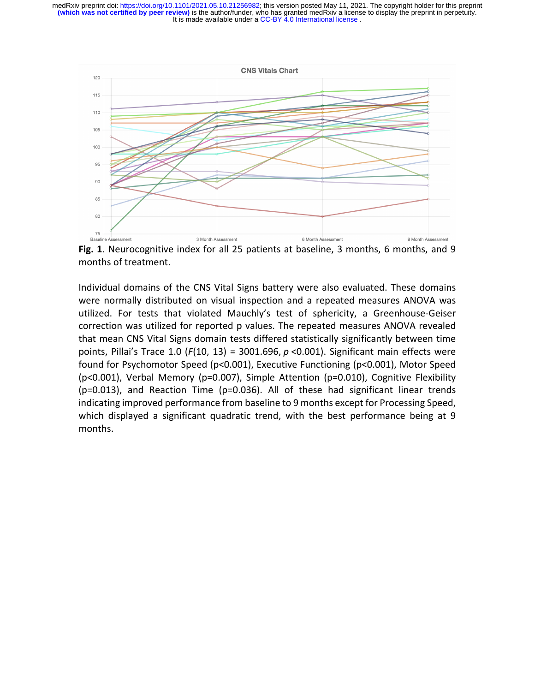

**Fig. 1**. Neurocognitive index for all 25 patients at baseline, 3 months, 6 months, and 9 months of treatment.

Individual domains of the CNS Vital Signs battery were also evaluated. These domains were normally distributed on visual inspection and a repeated measures ANOVA was utilized. For tests that violated Mauchly's test of sphericity, a Greenhouse-Geiser correction was utilized for reported p values. The repeated measures ANOVA revealed that mean CNS Vital Signs domain tests differed statistically significantly between time points, Pillai's Trace 1.0 (*F*(10, 13) = 3001.696, *p* <0.001). Significant main effects were found for Psychomotor Speed (p<0.001), Executive Functioning (p<0.001), Motor Speed (p<0.001), Verbal Memory (p=0.007), Simple Attention (p=0.010), Cognitive Flexibility (p=0.013), and Reaction Time (p=0.036). All of these had significant linear trends indicating improved performance from baseline to 9 months except for Processing Speed, which displayed a significant quadratic trend, with the best performance being at 9 months.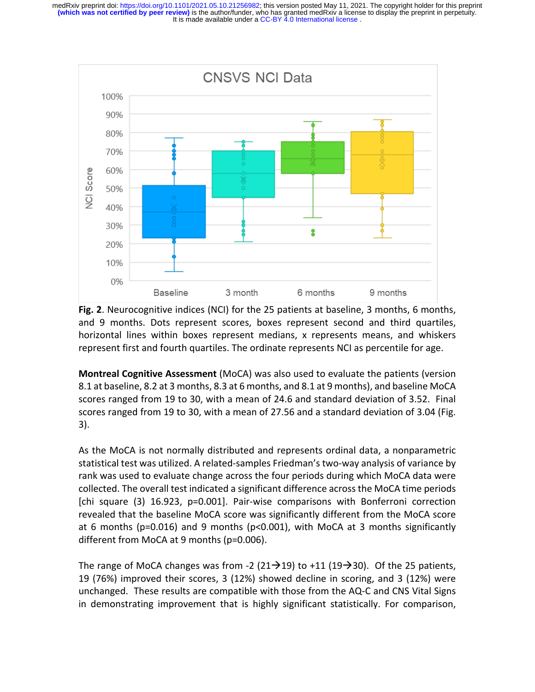

**Fig. 2**. Neurocognitive indices (NCI) for the 25 patients at baseline, 3 months, 6 months, and 9 months. Dots represent scores, boxes represent second and third quartiles, horizontal lines within boxes represent medians, x represents means, and whiskers represent first and fourth quartiles. The ordinate represents NCI as percentile for age.

**Montreal Cognitive Assessment** (MoCA) was also used to evaluate the patients (version 8.1 at baseline, 8.2 at 3 months, 8.3 at 6 months, and 8.1 at 9 months), and baseline MoCA scores ranged from 19 to 30, with a mean of 24.6 and standard deviation of 3.52. Final scores ranged from 19 to 30, with a mean of 27.56 and a standard deviation of 3.04 (Fig. 3).

As the MoCA is not normally distributed and represents ordinal data, a nonparametric statistical test was utilized. A related-samples Friedman's two-way analysis of variance by rank was used to evaluate change across the four periods during which MoCA data were collected. The overall test indicated a significant difference across the MoCA time periods [chi square (3) 16.923, p=0.001]. Pair-wise comparisons with Bonferroni correction revealed that the baseline MoCA score was significantly different from the MoCA score at 6 months ( $p=0.016$ ) and 9 months ( $p<0.001$ ), with MoCA at 3 months significantly different from MoCA at 9 months (p=0.006).

The range of MoCA changes was from -2 (21 $\rightarrow$ 19) to +11 (19 $\rightarrow$ 30). Of the 25 patients, 19 (76%) improved their scores, 3 (12%) showed decline in scoring, and 3 (12%) were unchanged. These results are compatible with those from the AQ-C and CNS Vital Signs in demonstrating improvement that is highly significant statistically. For comparison,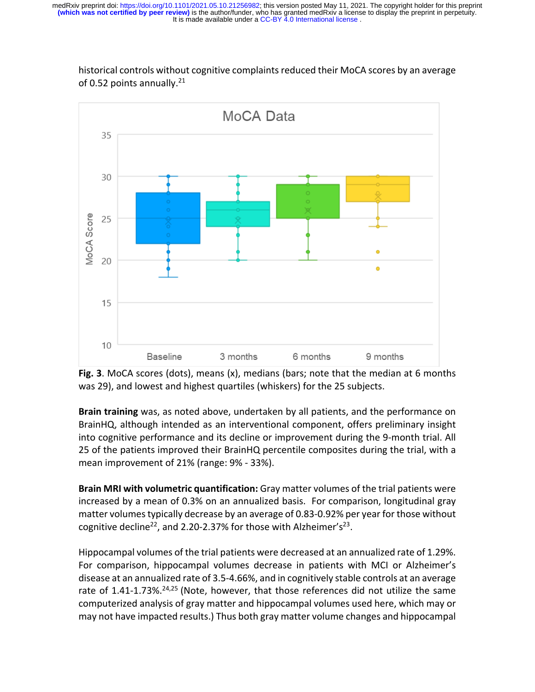

historical controls without cognitive complaints reduced their MoCA scores by an average of 0.52 points annually.<sup>21</sup>

**Fig. 3**. MoCA scores (dots), means (x), medians (bars; note that the median at 6 months was 29), and lowest and highest quartiles (whiskers) for the 25 subjects.

**Brain training** was, as noted above, undertaken by all patients, and the performance on BrainHQ, although intended as an interventional component, offers preliminary insight into cognitive performance and its decline or improvement during the 9-month trial. All 25 of the patients improved their BrainHQ percentile composites during the trial, with a mean improvement of 21% (range: 9% - 33%).

**Brain MRI with volumetric quantification:** Gray matter volumes of the trial patients were increased by a mean of 0.3% on an annualized basis. For comparison, longitudinal gray matter volumestypically decrease by an average of 0.83-0.92% per year for those without cognitive decline<sup>22</sup>, and 2.20-2.37% for those with Alzheimer's<sup>23</sup>.

Hippocampal volumes of the trial patients were decreased at an annualized rate of 1.29%. For comparison, hippocampal volumes decrease in patients with MCI or Alzheimer's disease at an annualized rate of 3.5-4.66%, and in cognitively stable controls at an average rate of 1.41-1.73%. $24,25$  (Note, however, that those references did not utilize the same computerized analysis of gray matter and hippocampal volumes used here, which may or may not have impacted results.) Thus both gray matter volume changes and hippocampal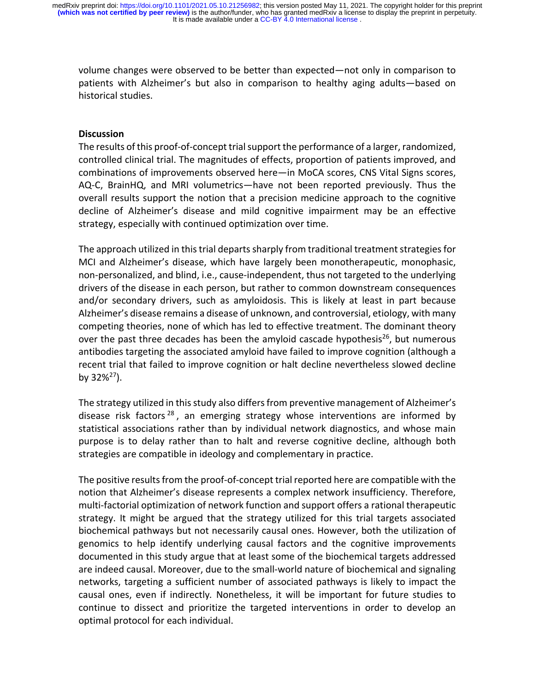volume changes were observed to be better than expected—not only in comparison to patients with Alzheimer's but also in comparison to healthy aging adults—based on historical studies.

#### **Discussion**

The results of this proof-of-concept trial support the performance of a larger, randomized, controlled clinical trial. The magnitudes of effects, proportion of patients improved, and combinations of improvements observed here—in MoCA scores, CNS Vital Signs scores, AQ-C, BrainHQ, and MRI volumetrics—have not been reported previously. Thus the overall results support the notion that a precision medicine approach to the cognitive decline of Alzheimer's disease and mild cognitive impairment may be an effective strategy, especially with continued optimization over time.

The approach utilized in this trial departs sharply from traditional treatment strategies for MCI and Alzheimer's disease, which have largely been monotherapeutic, monophasic, non-personalized, and blind, i.e., cause-independent, thus not targeted to the underlying drivers of the disease in each person, but rather to common downstream consequences and/or secondary drivers, such as amyloidosis. This is likely at least in part because Alzheimer's disease remains a disease of unknown, and controversial, etiology, with many competing theories, none of which has led to effective treatment. The dominant theory over the past three decades has been the amyloid cascade hypothesis<sup>26</sup>, but numerous antibodies targeting the associated amyloid have failed to improve cognition (although a recent trial that failed to improve cognition or halt decline nevertheless slowed decline by  $32\%/^{27}$ ).

The strategy utilized in this study also differs from preventive management of Alzheimer's disease risk factors<sup>28</sup>, an emerging strategy whose interventions are informed by statistical associations rather than by individual network diagnostics, and whose main purpose is to delay rather than to halt and reverse cognitive decline, although both strategies are compatible in ideology and complementary in practice.

The positive results from the proof-of-concept trial reported here are compatible with the notion that Alzheimer's disease represents a complex network insufficiency. Therefore, multi-factorial optimization of network function and support offers a rational therapeutic strategy. It might be argued that the strategy utilized for this trial targets associated biochemical pathways but not necessarily causal ones. However, both the utilization of genomics to help identify underlying causal factors and the cognitive improvements documented in this study argue that at least some of the biochemical targets addressed are indeed causal. Moreover, due to the small-world nature of biochemical and signaling networks, targeting a sufficient number of associated pathways is likely to impact the causal ones, even if indirectly*.* Nonetheless, it will be important for future studies to continue to dissect and prioritize the targeted interventions in order to develop an optimal protocol for each individual.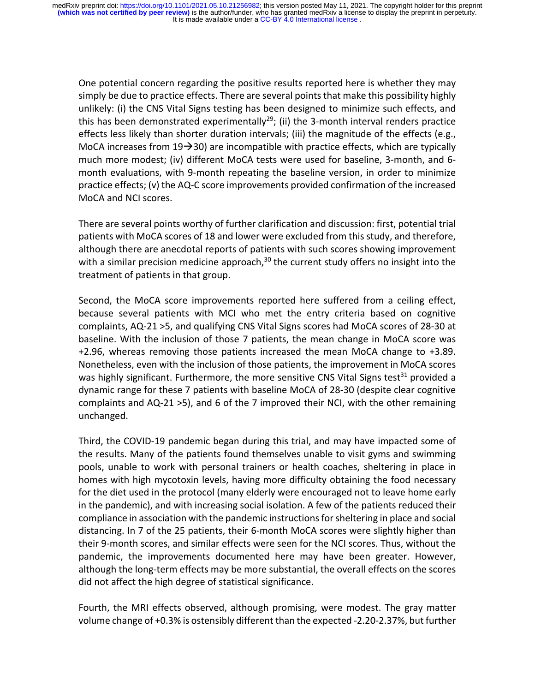One potential concern regarding the positive results reported here is whether they may simply be due to practice effects. There are several points that make this possibility highly unlikely: (i) the CNS Vital Signs testing has been designed to minimize such effects, and this has been demonstrated experimentally<sup>29</sup>; (ii) the 3-month interval renders practice effects less likely than shorter duration intervals; (iii) the magnitude of the effects (e.g., MoCA increases from  $19\rightarrow 30$ ) are incompatible with practice effects, which are typically much more modest; (iv) different MoCA tests were used for baseline, 3-month, and 6 month evaluations, with 9-month repeating the baseline version, in order to minimize practice effects; (v) the AQ-C score improvements provided confirmation of the increased MoCA and NCI scores.

There are several points worthy of further clarification and discussion: first, potential trial patients with MoCA scores of 18 and lower were excluded from this study, and therefore, although there are anecdotal reports of patients with such scores showing improvement with a similar precision medicine approach, $30$  the current study offers no insight into the treatment of patients in that group.

Second, the MoCA score improvements reported here suffered from a ceiling effect, because several patients with MCI who met the entry criteria based on cognitive complaints, AQ-21 >5, and qualifying CNS Vital Signs scores had MoCA scores of 28-30 at baseline. With the inclusion of those 7 patients, the mean change in MoCA score was +2.96, whereas removing those patients increased the mean MoCA change to +3.89. Nonetheless, even with the inclusion of those patients, the improvement in MoCA scores was highly significant. Furthermore, the more sensitive CNS Vital Signs test<sup>31</sup> provided a dynamic range for these 7 patients with baseline MoCA of 28-30 (despite clear cognitive complaints and AQ-21 >5), and 6 of the 7 improved their NCI, with the other remaining unchanged.

Third, the COVID-19 pandemic began during this trial, and may have impacted some of the results. Many of the patients found themselves unable to visit gyms and swimming pools, unable to work with personal trainers or health coaches, sheltering in place in homes with high mycotoxin levels, having more difficulty obtaining the food necessary for the diet used in the protocol (many elderly were encouraged not to leave home early in the pandemic), and with increasing social isolation. A few of the patients reduced their compliance in association with the pandemic instructions for sheltering in place and social distancing. In 7 of the 25 patients, their 6-month MoCA scores were slightly higher than their 9-month scores, and similar effects were seen for the NCI scores. Thus, without the pandemic, the improvements documented here may have been greater. However, although the long-term effects may be more substantial, the overall effects on the scores did not affect the high degree of statistical significance.

Fourth, the MRI effects observed, although promising, were modest. The gray matter volume change of +0.3% is ostensibly different than the expected -2.20-2.37%, but further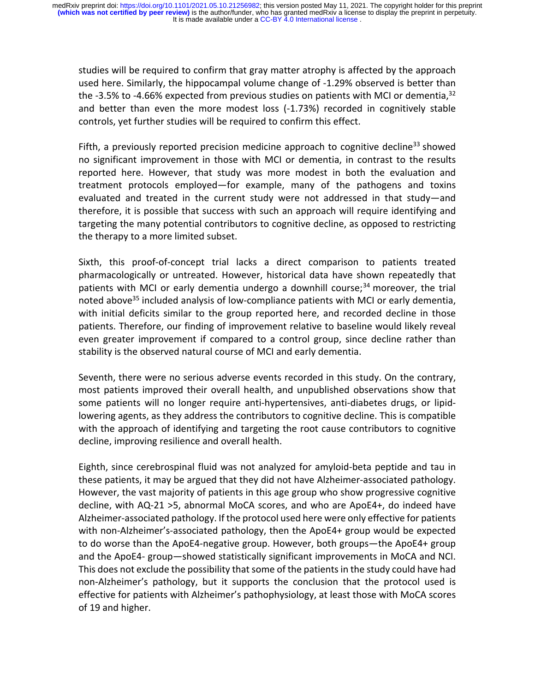studies will be required to confirm that gray matter atrophy is affected by the approach used here. Similarly, the hippocampal volume change of -1.29% observed is better than the -3.5% to -4.66% expected from previous studies on patients with MCI or dementia,<sup>32</sup> and better than even the more modest loss (-1.73%) recorded in cognitively stable controls, yet further studies will be required to confirm this effect.

Fifth, a previously reported precision medicine approach to cognitive decline<sup>33</sup> showed no significant improvement in those with MCI or dementia, in contrast to the results reported here. However, that study was more modest in both the evaluation and treatment protocols employed—for example, many of the pathogens and toxins evaluated and treated in the current study were not addressed in that study—and therefore, it is possible that success with such an approach will require identifying and targeting the many potential contributors to cognitive decline, as opposed to restricting the therapy to a more limited subset.

Sixth, this proof-of-concept trial lacks a direct comparison to patients treated pharmacologically or untreated. However, historical data have shown repeatedly that patients with MCI or early dementia undergo a downhill course;<sup>34</sup> moreover, the trial noted above<sup>35</sup> included analysis of low-compliance patients with MCI or early dementia, with initial deficits similar to the group reported here, and recorded decline in those patients. Therefore, our finding of improvement relative to baseline would likely reveal even greater improvement if compared to a control group, since decline rather than stability is the observed natural course of MCI and early dementia.

Seventh, there were no serious adverse events recorded in this study. On the contrary, most patients improved their overall health, and unpublished observations show that some patients will no longer require anti-hypertensives, anti-diabetes drugs, or lipidlowering agents, as they address the contributors to cognitive decline. This is compatible with the approach of identifying and targeting the root cause contributors to cognitive decline, improving resilience and overall health.

Eighth, since cerebrospinal fluid was not analyzed for amyloid-beta peptide and tau in these patients, it may be argued that they did not have Alzheimer-associated pathology. However, the vast majority of patients in this age group who show progressive cognitive decline, with AQ-21 >5, abnormal MoCA scores, and who are ApoE4+, do indeed have Alzheimer-associated pathology. If the protocol used here were only effective for patients with non-Alzheimer's-associated pathology, then the ApoE4+ group would be expected to do worse than the ApoE4-negative group. However, both groups—the ApoE4+ group and the ApoE4- group—showed statistically significant improvements in MoCA and NCI. This does not exclude the possibility that some of the patients in the study could have had non-Alzheimer's pathology, but it supports the conclusion that the protocol used is effective for patients with Alzheimer's pathophysiology, at least those with MoCA scores of 19 and higher.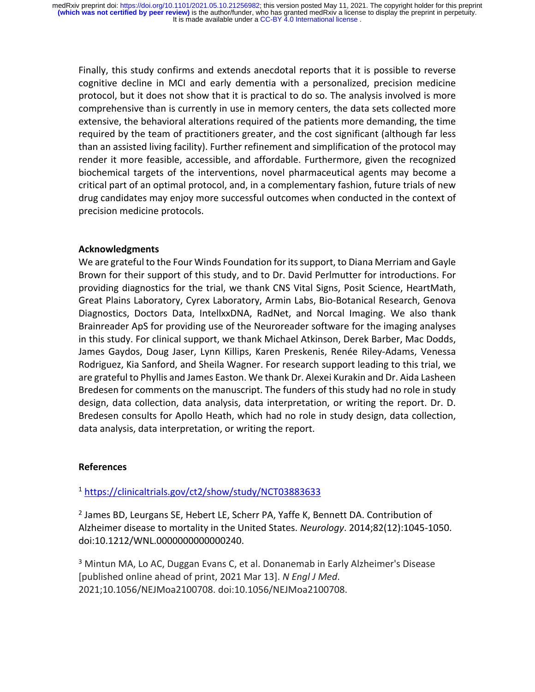Finally, this study confirms and extends anecdotal reports that it is possible to reverse cognitive decline in MCI and early dementia with a personalized, precision medicine protocol, but it does not show that it is practical to do so. The analysis involved is more comprehensive than is currently in use in memory centers, the data sets collected more extensive, the behavioral alterations required of the patients more demanding, the time required by the team of practitioners greater, and the cost significant (although far less than an assisted living facility). Further refinement and simplification of the protocol may render it more feasible, accessible, and affordable. Furthermore, given the recognized biochemical targets of the interventions, novel pharmaceutical agents may become a critical part of an optimal protocol, and, in a complementary fashion, future trials of new drug candidates may enjoy more successful outcomes when conducted in the context of precision medicine protocols.

## **Acknowledgments**

We are grateful to the Four Winds Foundation for its support, to Diana Merriam and Gayle Brown for their support of this study, and to Dr. David Perlmutter for introductions. For providing diagnostics for the trial, we thank CNS Vital Signs, Posit Science, HeartMath, Great Plains Laboratory, Cyrex Laboratory, Armin Labs, Bio-Botanical Research, Genova Diagnostics, Doctors Data, IntellxxDNA, RadNet, and Norcal Imaging. We also thank Brainreader ApS for providing use of the Neuroreader software for the imaging analyses in this study. For clinical support, we thank Michael Atkinson, Derek Barber, Mac Dodds, James Gaydos, Doug Jaser, Lynn Killips, Karen Preskenis, Renée Riley-Adams, Venessa Rodriguez, Kia Sanford, and Sheila Wagner. For research support leading to this trial, we are grateful to Phyllis and James Easton. We thank Dr. Alexei Kurakin and Dr. Aida Lasheen Bredesen for comments on the manuscript. The funders of this study had no role in study design, data collection, data analysis, data interpretation, or writing the report. Dr. D. Bredesen consults for Apollo Heath, which had no role in study design, data collection, data analysis, data interpretation, or writing the report.

## **References**

<sup>1</sup> https://clinicaltrials.gov/ct2/show/study/NCT03883633

<sup>2</sup> James BD, Leurgans SE, Hebert LE, Scherr PA, Yaffe K, Bennett DA. Contribution of Alzheimer disease to mortality in the United States. *Neurology*. 2014;82(12):1045-1050. doi:10.1212/WNL.0000000000000240.

<sup>3</sup> Mintun MA, Lo AC, Duggan Evans C, et al. Donanemab in Early Alzheimer's Disease [published online ahead of print, 2021 Mar 13]. *N Engl J Med*. 2021;10.1056/NEJMoa2100708. doi:10.1056/NEJMoa2100708.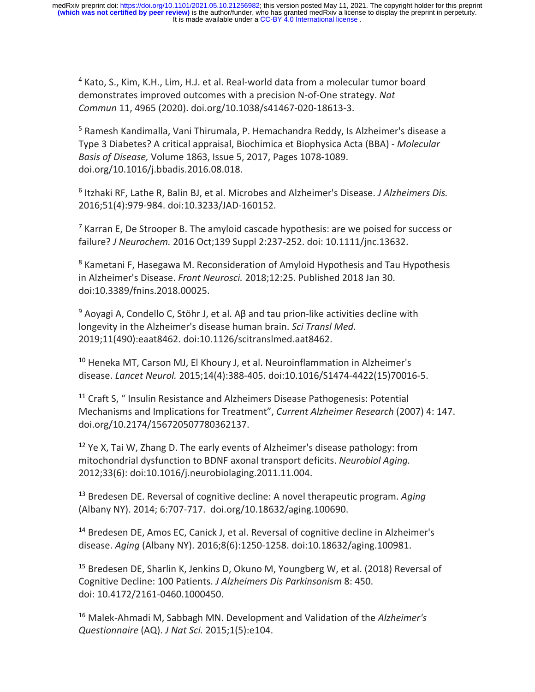It is made available under a CC-BY 4.0 International license. medRxiv preprint doi: https://doi.org/10.1101/2021.05.10.21256982; this version posted May 11, 2021. The copyright holder for this preprint<br>(which was not certified by peer review) is the author/funder, who has granted med

<sup>4</sup> Kato, S., Kim, K.H., Lim, H.J. et al. Real-world data from a molecular tumor board demonstrates improved outcomes with a precision N-of-One strategy. *Nat Commun* 11, 4965 (2020). doi.org/10.1038/s41467-020-18613-3.

<sup>5</sup> Ramesh Kandimalla, Vani Thirumala, P. Hemachandra Reddy, Is Alzheimer's disease a Type 3 Diabetes? A critical appraisal, Biochimica et Biophysica Acta (BBA) - *Molecular Basis of Disease,* Volume 1863, Issue 5, 2017, Pages 1078-1089. doi.org/10.1016/j.bbadis.2016.08.018.

<sup>6</sup> Itzhaki RF, Lathe R, Balin BJ, et al. Microbes and Alzheimer's Disease. *J Alzheimers Dis.* 2016;51(4):979-984. doi:10.3233/JAD-160152.

 $<sup>7</sup>$  Karran E, De Strooper B. The amyloid cascade hypothesis: are we poised for success or</sup> failure? *J Neurochem.* 2016 Oct;139 Suppl 2:237-252. doi: 10.1111/jnc.13632.

<sup>8</sup> Kametani F, Hasegawa M. Reconsideration of Amyloid Hypothesis and Tau Hypothesis in Alzheimer's Disease. *Front Neurosci.* 2018;12:25. Published 2018 Jan 30. doi:10.3389/fnins.2018.00025.

<sup>9</sup> Aoyagi A, Condello C, Stöhr J, et al. Aβ and tau prion-like activities decline with longevity in the Alzheimer's disease human brain. *Sci Transl Med.*  2019;11(490):eaat8462. doi:10.1126/scitranslmed.aat8462.

<sup>10</sup> Heneka MT, Carson MJ, El Khoury J, et al. Neuroinflammation in Alzheimer's disease. *Lancet Neurol.* 2015;14(4):388-405. doi:10.1016/S1474-4422(15)70016-5.

<sup>11</sup> Craft S, " Insulin Resistance and Alzheimers Disease Pathogenesis: Potential Mechanisms and Implications for Treatment", *Current Alzheimer Research* (2007) 4: 147. doi.org/10.2174/156720507780362137.

 $12$  Ye X, Tai W, Zhang D. The early events of Alzheimer's disease pathology: from mitochondrial dysfunction to BDNF axonal transport deficits. *Neurobiol Aging.* 2012;33(6): doi:10.1016/j.neurobiolaging.2011.11.004.

<sup>13</sup> Bredesen DE. Reversal of cognitive decline: A novel therapeutic program. *Aging* (Albany NY). 2014; 6:707-717. doi.org/10.18632/aging.100690.

<sup>14</sup> Bredesen DE, Amos EC, Canick J, et al. Reversal of cognitive decline in Alzheimer's disease. *Aging* (Albany NY). 2016;8(6):1250-1258. doi:10.18632/aging.100981.

<sup>15</sup> Bredesen DE, Sharlin K, Jenkins D, Okuno M, Youngberg W, et al. (2018) Reversal of Cognitive Decline: 100 Patients. *J Alzheimers Dis Parkinsonism* 8: 450. doi: 10.4172/2161-0460.1000450.

<sup>16</sup> Malek-Ahmadi M, Sabbagh MN. Development and Validation of the *Alzheimer's Questionnaire* (AQ). *J Nat Sci.* 2015;1(5):e104.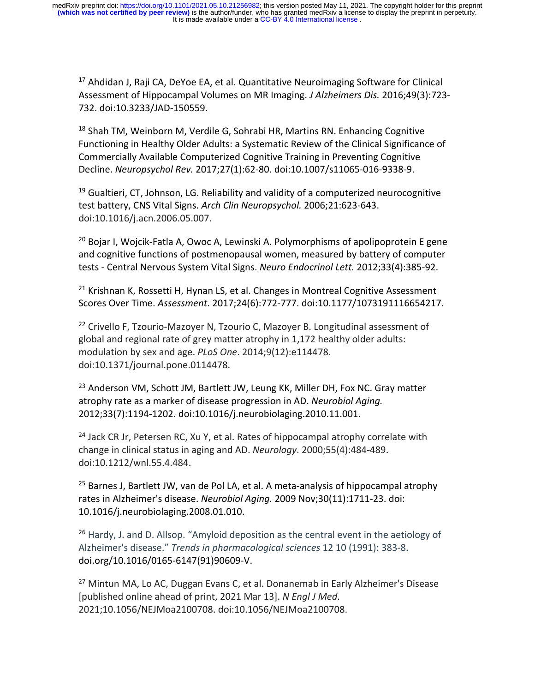<sup>17</sup> Ahdidan J. Raii CA. DeYoe EA, et al. Quantitative Neuroimaging Software for Clinical Assessment of Hippocampal Volumes on MR Imaging. *J Alzheimers Dis.* 2016;49(3):723- 732. doi:10.3233/JAD-150559.

 $18$  Shah TM, Weinborn M, Verdile G, Sohrabi HR, Martins RN. Enhancing Cognitive Functioning in Healthy Older Adults: a Systematic Review of the Clinical Significance of Commercially Available Computerized Cognitive Training in Preventing Cognitive Decline. *Neuropsychol Rev.* 2017;27(1):62-80. doi:10.1007/s11065-016-9338-9.

 $19$  Gualtieri, CT, Johnson, LG. Reliability and validity of a computerized neurocognitive test battery, CNS Vital Signs. *Arch Clin Neuropsychol.* 2006;21:623-643. doi:10.1016/j.acn.2006.05.007.

<sup>20</sup> Bojar I, Wojcik-Fatla A, Owoc A, Lewinski A, Polymorphisms of apolipoprotein E gene and cognitive functions of postmenopausal women, measured by battery of computer tests - Central Nervous System Vital Signs. *Neuro Endocrinol Lett.* 2012;33(4):385-92.

 $21$  Krishnan K, Rossetti H, Hynan LS, et al. Changes in Montreal Cognitive Assessment Scores Over Time. *Assessment*. 2017;24(6):772-777. doi:10.1177/1073191116654217.

<sup>22</sup> Crivello F, Tzourio-Mazoyer N, Tzourio C, Mazoyer B. Longitudinal assessment of global and regional rate of grey matter atrophy in 1,172 healthy older adults: modulation by sex and age. *PLoS One*. 2014;9(12):e114478. doi:10.1371/journal.pone.0114478.

<sup>23</sup> Anderson VM, Schott JM, Bartlett JW, Leung KK, Miller DH, Fox NC. Gray matter atrophy rate as a marker of disease progression in AD. *Neurobiol Aging.* 2012;33(7):1194-1202. doi:10.1016/j.neurobiolaging.2010.11.001.

 $24$  Jack CR Jr, Petersen RC, Xu Y, et al. Rates of hippocampal atrophy correlate with change in clinical status in aging and AD. *Neurology*. 2000;55(4):484-489. doi:10.1212/wnl.55.4.484.

 $25$  Barnes J, Bartlett JW, van de Pol LA, et al. A meta-analysis of hippocampal atrophy rates in Alzheimer's disease. *Neurobiol Aging.* 2009 Nov;30(11):1711-23. doi: 10.1016/j.neurobiolaging.2008.01.010.

<sup>26</sup> Hardy, J. and D. Allsop. "Amyloid deposition as the central event in the aetiology of Alzheimer's disease." *Trends in pharmacological sciences* 12 10 (1991): 383-8. doi.org/10.1016/0165-6147(91)90609-V.

<sup>27</sup> Mintun MA, Lo AC, Duggan Evans C, et al. Donanemab in Early Alzheimer's Disease [published online ahead of print, 2021 Mar 13]. *N Engl J Med*. 2021;10.1056/NEJMoa2100708. doi:10.1056/NEJMoa2100708.